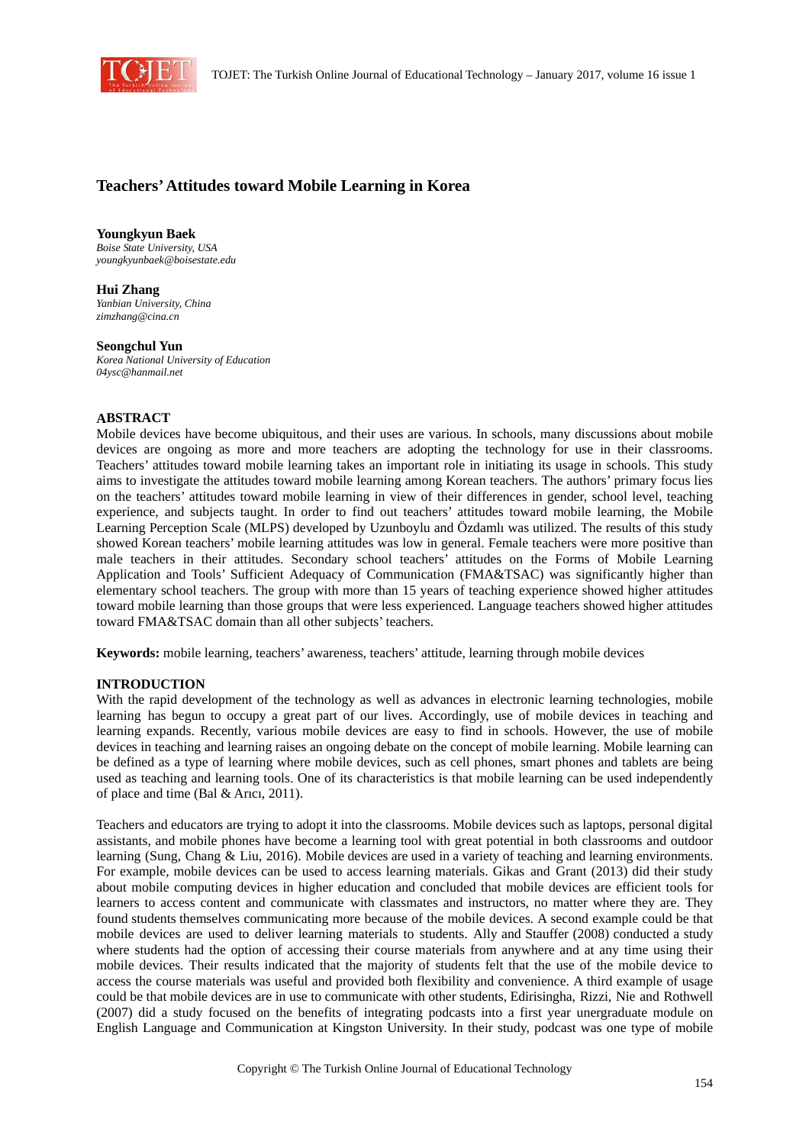

# **Teachers' Attitudes toward Mobile Learning in Korea**

**Youngkyun Baek**  *Boise State University, USA youngkyunbaek@boisestate.edu* 

**Hui Zhang**  *Yanbian University, China zimzhang@cina.cn* 

**Seongchul Yun**  *Korea National University of Education 04ysc@hanmail.net* 

#### **ABSTRACT**

Mobile devices have become ubiquitous, and their uses are various. In schools, many discussions about mobile devices are ongoing as more and more teachers are adopting the technology for use in their classrooms. Teachers' attitudes toward mobile learning takes an important role in initiating its usage in schools. This study aims to investigate the attitudes toward mobile learning among Korean teachers. The authors' primary focus lies on the teachers' attitudes toward mobile learning in view of their differences in gender, school level, teaching experience, and subjects taught. In order to find out teachers' attitudes toward mobile learning, the Mobile Learning Perception Scale (MLPS) developed by Uzunboylu and Özdamlı was utilized. The results of this study showed Korean teachers' mobile learning attitudes was low in general. Female teachers were more positive than male teachers in their attitudes. Secondary school teachers' attitudes on the Forms of Mobile Learning Application and Tools' Sufficient Adequacy of Communication (FMA&TSAC) was significantly higher than elementary school teachers. The group with more than 15 years of teaching experience showed higher attitudes toward mobile learning than those groups that were less experienced. Language teachers showed higher attitudes toward FMA&TSAC domain than all other subjects' teachers.

**Keywords:** mobile learning, teachers' awareness, teachers' attitude, learning through mobile devices

#### **INTRODUCTION**

With the rapid development of the technology as well as advances in electronic learning technologies, mobile learning has begun to occupy a great part of our lives. Accordingly, use of mobile devices in teaching and learning expands. Recently, various mobile devices are easy to find in schools. However, the use of mobile devices in teaching and learning raises an ongoing debate on the concept of mobile learning. Mobile learning can be defined as a type of learning where mobile devices, such as cell phones, smart phones and tablets are being used as teaching and learning tools. One of its characteristics is that mobile learning can be used independently of place and time (Bal & Arıcı, 2011).

Teachers and educators are trying to adopt it into the classrooms. Mobile devices such as laptops, personal digital assistants, and mobile phones have become a learning tool with great potential in both classrooms and outdoor learning (Sung, Chang & Liu, 2016). Mobile devices are used in a variety of teaching and learning environments. For example, mobile devices can be used to access learning materials. Gikas and Grant (2013) did their study about mobile computing devices in higher education and concluded that mobile devices are efficient tools for learners to access content and communicate with classmates and instructors, no matter where they are. They found students themselves communicating more because of the mobile devices. A second example could be that mobile devices are used to deliver learning materials to students. Ally and Stauffer (2008) conducted a study where students had the option of accessing their course materials from anywhere and at any time using their mobile devices. Their results indicated that the majority of students felt that the use of the mobile device to access the course materials was useful and provided both flexibility and convenience. A third example of usage could be that mobile devices are in use to communicate with other students, Edirisingha, Rizzi, Nie and Rothwell (2007) did a study focused on the benefits of integrating podcasts into a first year unergraduate module on English Language and Communication at Kingston University. In their study, podcast was one type of mobile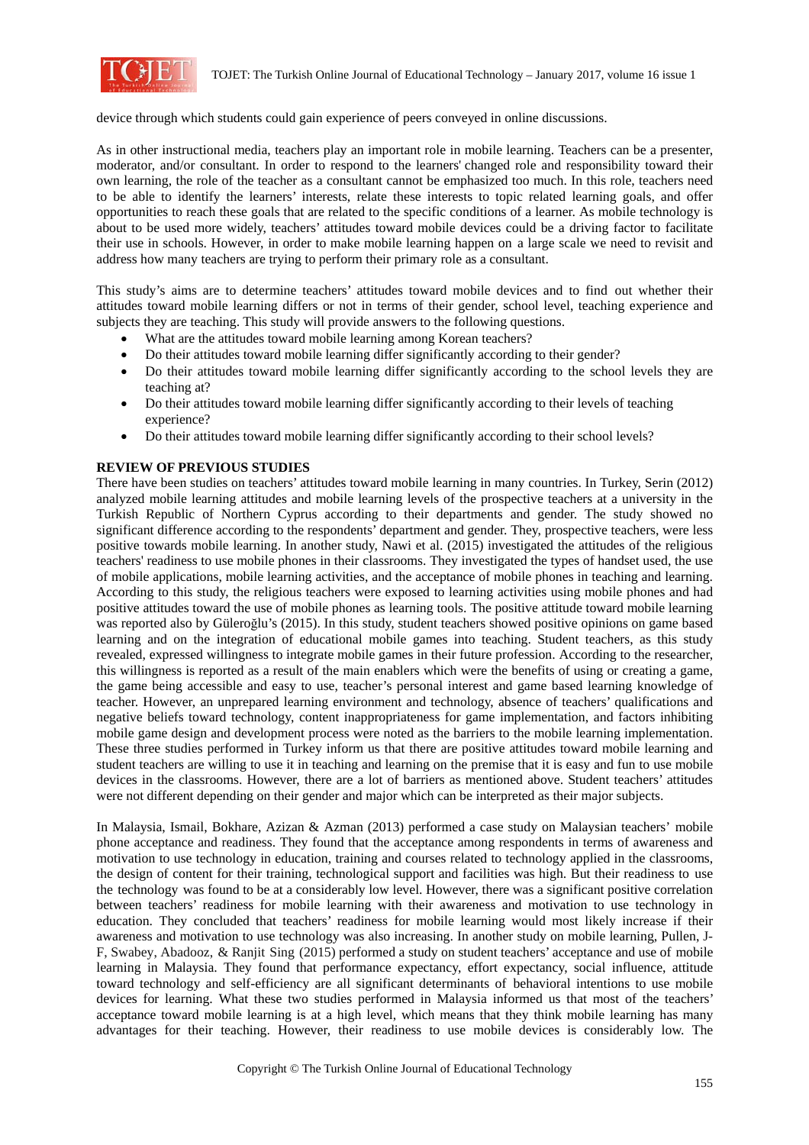

device through which students could gain experience of peers conveyed in online discussions.

As in other instructional media, teachers play an important role in mobile learning. Teachers can be a presenter, moderator, and/or consultant. In order to respond to the learners' changed role and responsibility toward their own learning, the role of the teacher as a consultant cannot be emphasized too much. In this role, teachers need to be able to identify the learners' interests, relate these interests to topic related learning goals, and offer opportunities to reach these goals that are related to the specific conditions of a learner. As mobile technology is about to be used more widely, teachers' attitudes toward mobile devices could be a driving factor to facilitate their use in schools. However, in order to make mobile learning happen on a large scale we need to revisit and address how many teachers are trying to perform their primary role as a consultant.

This study's aims are to determine teachers' attitudes toward mobile devices and to find out whether their attitudes toward mobile learning differs or not in terms of their gender, school level, teaching experience and subjects they are teaching. This study will provide answers to the following questions.

- What are the attitudes toward mobile learning among Korean teachers?
- Do their attitudes toward mobile learning differ significantly according to their gender?
- Do their attitudes toward mobile learning differ significantly according to the school levels they are teaching at?
- Do their attitudes toward mobile learning differ significantly according to their levels of teaching experience?
- Do their attitudes toward mobile learning differ significantly according to their school levels?

#### **REVIEW OF PREVIOUS STUDIES**

There have been studies on teachers' attitudes toward mobile learning in many countries. In Turkey, Serin (2012) analyzed mobile learning attitudes and mobile learning levels of the prospective teachers at a university in the Turkish Republic of Northern Cyprus according to their departments and gender. The study showed no significant difference according to the respondents' department and gender. They, prospective teachers, were less positive towards mobile learning. In another study, Nawi et al. (2015) investigated the attitudes of the religious teachers' readiness to use mobile phones in their classrooms. They investigated the types of handset used, the use of mobile applications, mobile learning activities, and the acceptance of mobile phones in teaching and learning. According to this study, the religious teachers were exposed to learning activities using mobile phones and had positive attitudes toward the use of mobile phones as learning tools. The positive attitude toward mobile learning was reported also by Güleroğlu's (2015). In this study, student teachers showed positive opinions on game based learning and on the integration of educational mobile games into teaching. Student teachers, as this study revealed, expressed willingness to integrate mobile games in their future profession. According to the researcher, this willingness is reported as a result of the main enablers which were the benefits of using or creating a game, the game being accessible and easy to use, teacher's personal interest and game based learning knowledge of teacher. However, an unprepared learning environment and technology, absence of teachers' qualifications and negative beliefs toward technology, content inappropriateness for game implementation, and factors inhibiting mobile game design and development process were noted as the barriers to the mobile learning implementation. These three studies performed in Turkey inform us that there are positive attitudes toward mobile learning and student teachers are willing to use it in teaching and learning on the premise that it is easy and fun to use mobile devices in the classrooms. However, there are a lot of barriers as mentioned above. Student teachers' attitudes were not different depending on their gender and major which can be interpreted as their major subjects.

In Malaysia, Ismail, Bokhare, Azizan & Azman (2013) performed a case study on Malaysian teachers' mobile phone acceptance and readiness. They found that the acceptance among respondents in terms of awareness and motivation to use technology in education, training and courses related to technology applied in the classrooms, the design of content for their training, technological support and facilities was high. But their readiness to use the technology was found to be at a considerably low level. However, there was a significant positive correlation between teachers' readiness for mobile learning with their awareness and motivation to use technology in education. They concluded that teachers' readiness for mobile learning would most likely increase if their awareness and motivation to use technology was also increasing. In another study on mobile learning, Pullen, J-F, Swabey, Abadooz, & Ranjit Sing (2015) performed a study on student teachers' acceptance and use of mobile learning in Malaysia. They found that performance expectancy, effort expectancy, social influence, attitude toward technology and self-efficiency are all significant determinants of behavioral intentions to use mobile devices for learning. What these two studies performed in Malaysia informed us that most of the teachers' acceptance toward mobile learning is at a high level, which means that they think mobile learning has many advantages for their teaching. However, their readiness to use mobile devices is considerably low. The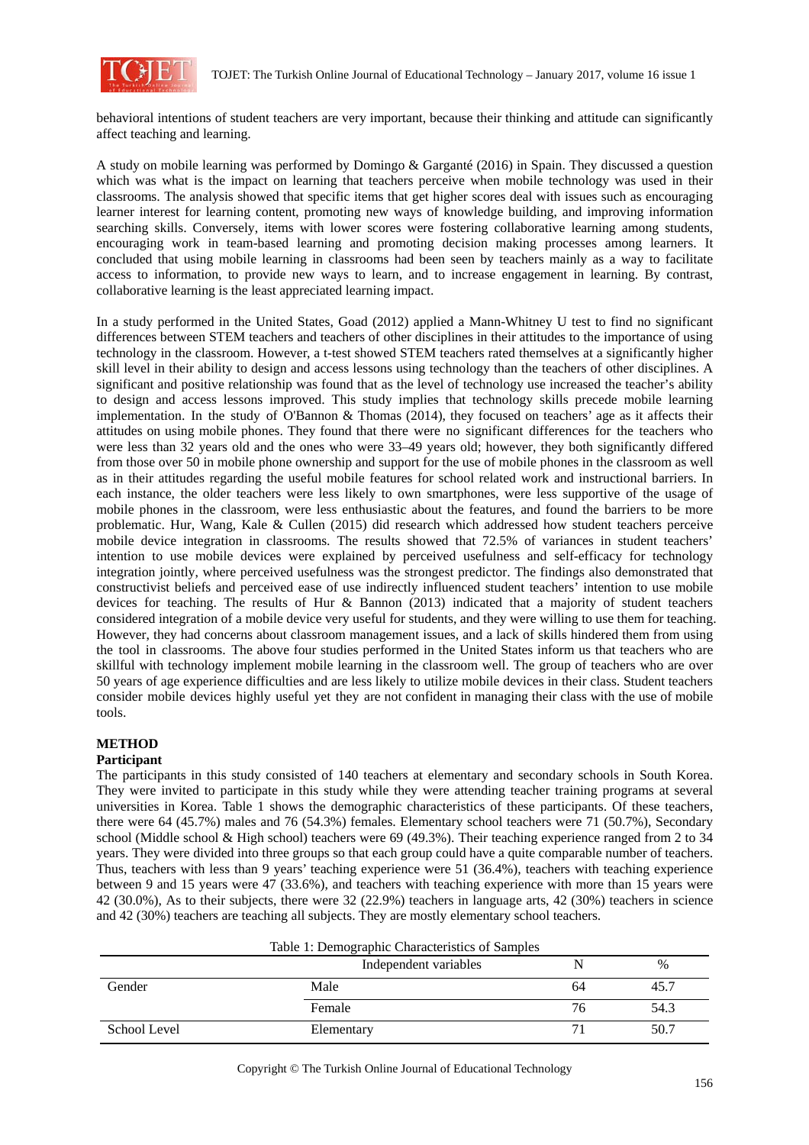

behavioral intentions of student teachers are very important, because their thinking and attitude can significantly affect teaching and learning.

A study on mobile learning was performed by Domingo & Garganté (2016) in Spain. They discussed a question which was what is the impact on learning that teachers perceive when mobile technology was used in their classrooms. The analysis showed that specific items that get higher scores deal with issues such as encouraging learner interest for learning content, promoting new ways of knowledge building, and improving information searching skills. Conversely, items with lower scores were fostering collaborative learning among students, encouraging work in team-based learning and promoting decision making processes among learners. It concluded that using mobile learning in classrooms had been seen by teachers mainly as a way to facilitate access to information, to provide new ways to learn, and to increase engagement in learning. By contrast, collaborative learning is the least appreciated learning impact.

In a study performed in the United States, Goad (2012) applied a Mann-Whitney U test to find no significant differences between STEM teachers and teachers of other disciplines in their attitudes to the importance of using technology in the classroom. However, a t-test showed STEM teachers rated themselves at a significantly higher skill level in their ability to design and access lessons using technology than the teachers of other disciplines. A significant and positive relationship was found that as the level of technology use increased the teacher's ability to design and access lessons improved. This study implies that technology skills precede mobile learning implementation. In the study of O'Bannon & Thomas (2014), they focused on teachers' age as it affects their attitudes on using mobile phones. They found that there were no significant differences for the teachers who were less than 32 years old and the ones who were 33–49 years old; however, they both significantly differed from those over 50 in mobile phone ownership and support for the use of mobile phones in the classroom as well as in their attitudes regarding the useful mobile features for school related work and instructional barriers. In each instance, the older teachers were less likely to own smartphones, were less supportive of the usage of mobile phones in the classroom, were less enthusiastic about the features, and found the barriers to be more problematic. Hur, Wang, Kale & Cullen (2015) did research which addressed how student teachers perceive mobile device integration in classrooms. The results showed that 72.5% of variances in student teachers' intention to use mobile devices were explained by perceived usefulness and self-efficacy for technology integration jointly, where perceived usefulness was the strongest predictor. The findings also demonstrated that constructivist beliefs and perceived ease of use indirectly influenced student teachers' intention to use mobile devices for teaching. The results of Hur & Bannon (2013) indicated that a majority of student teachers considered integration of a mobile device very useful for students, and they were willing to use them for teaching. However, they had concerns about classroom management issues, and a lack of skills hindered them from using the tool in classrooms. The above four studies performed in the United States inform us that teachers who are skillful with technology implement mobile learning in the classroom well. The group of teachers who are over 50 years of age experience difficulties and are less likely to utilize mobile devices in their class. Student teachers consider mobile devices highly useful yet they are not confident in managing their class with the use of mobile tools.

## **METHOD**

### **Participant**

The participants in this study consisted of 140 teachers at elementary and secondary schools in South Korea. They were invited to participate in this study while they were attending teacher training programs at several universities in Korea. Table 1 shows the demographic characteristics of these participants. Of these teachers, there were 64 (45.7%) males and 76 (54.3%) females. Elementary school teachers were 71 (50.7%), Secondary school (Middle school & High school) teachers were 69 (49.3%). Their teaching experience ranged from 2 to 34 years. They were divided into three groups so that each group could have a quite comparable number of teachers. Thus, teachers with less than 9 years' teaching experience were 51 (36.4%), teachers with teaching experience between 9 and 15 years were 47 (33.6%), and teachers with teaching experience with more than 15 years were 42 (30.0%), As to their subjects, there were 32 (22.9%) teachers in language arts, 42 (30%) teachers in science and 42 (30%) teachers are teaching all subjects. They are mostly elementary school teachers.

|              | Independent variables |    | $\%$ |
|--------------|-----------------------|----|------|
| Gender       | Male                  | 64 | 45.7 |
|              | Female                | 76 | 54.3 |
| School Level | Elementary            |    | 50.7 |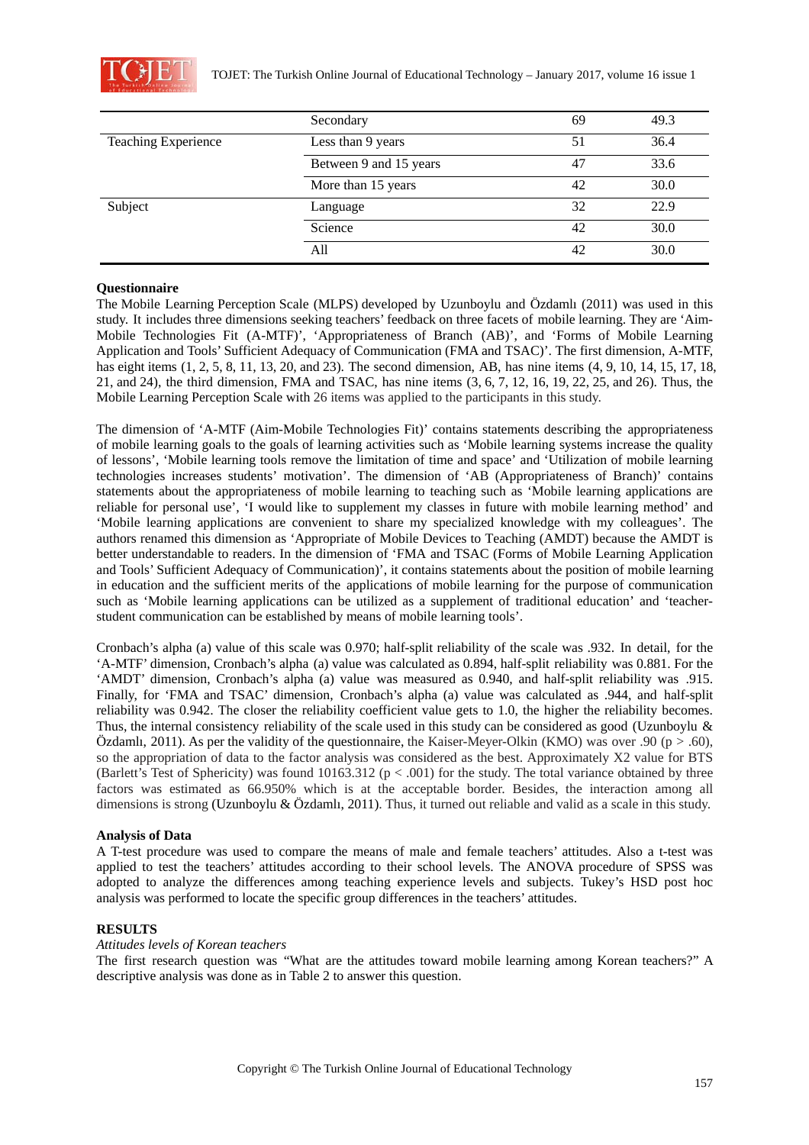

|                            | Secondary              | 69 | 49.3 |
|----------------------------|------------------------|----|------|
| <b>Teaching Experience</b> | Less than 9 years      | 51 | 36.4 |
|                            | Between 9 and 15 years | 47 | 33.6 |
|                            | More than 15 years     | 42 | 30.0 |
| Subject                    | Language               | 32 | 22.9 |
|                            | Science                | 42 | 30.0 |
|                            | All                    | 42 | 30.0 |

#### **Questionnaire**

The Mobile Learning Perception Scale (MLPS) developed by Uzunboylu and Özdamlı (2011) was used in this study. It includes three dimensions seeking teachers' feedback on three facets of mobile learning. They are 'Aim-Mobile Technologies Fit (A-MTF)', 'Appropriateness of Branch (AB)', and 'Forms of Mobile Learning Application and Tools' Sufficient Adequacy of Communication (FMA and TSAC)'. The first dimension, A-MTF, has eight items (1, 2, 5, 8, 11, 13, 20, and 23). The second dimension, AB, has nine items (4, 9, 10, 14, 15, 17, 18, 21, and 24), the third dimension, FMA and TSAC, has nine items (3, 6, 7, 12, 16, 19, 22, 25, and 26). Thus, the Mobile Learning Perception Scale with 26 items was applied to the participants in this study.

The dimension of 'A-MTF (Aim-Mobile Technologies Fit)' contains statements describing the appropriateness of mobile learning goals to the goals of learning activities such as 'Mobile learning systems increase the quality of lessons', 'Mobile learning tools remove the limitation of time and space' and 'Utilization of mobile learning technologies increases students' motivation'. The dimension of 'AB (Appropriateness of Branch)' contains statements about the appropriateness of mobile learning to teaching such as 'Mobile learning applications are reliable for personal use', 'I would like to supplement my classes in future with mobile learning method' and 'Mobile learning applications are convenient to share my specialized knowledge with my colleagues'. The authors renamed this dimension as 'Appropriate of Mobile Devices to Teaching (AMDT) because the AMDT is better understandable to readers. In the dimension of 'FMA and TSAC (Forms of Mobile Learning Application and Tools' Sufficient Adequacy of Communication)', it contains statements about the position of mobile learning in education and the sufficient merits of the applications of mobile learning for the purpose of communication such as 'Mobile learning applications can be utilized as a supplement of traditional education' and 'teacherstudent communication can be established by means of mobile learning tools'.

Cronbach's alpha (a) value of this scale was 0.970; half-split reliability of the scale was .932. In detail, for the 'A-MTF' dimension, Cronbach's alpha (a) value was calculated as 0.894, half-split reliability was 0.881. For the 'AMDT' dimension, Cronbach's alpha (a) value was measured as 0.940, and half-split reliability was .915. Finally, for 'FMA and TSAC' dimension, Cronbach's alpha (a) value was calculated as .944, and half-split reliability was 0.942. The closer the reliability coefficient value gets to 1.0, the higher the reliability becomes. Thus, the internal consistency reliability of the scale used in this study can be considered as good (Uzunboylu & Özdamlı, 2011). As per the validity of the questionnaire, the Kaiser-Meyer-Olkin (KMO) was over .90 ( $p > .60$ ), so the appropriation of data to the factor analysis was considered as the best. Approximately X2 value for BTS (Barlett's Test of Sphericity) was found  $10163.312$  ( $p < .001$ ) for the study. The total variance obtained by three factors was estimated as 66.950% which is at the acceptable border. Besides, the interaction among all dimensions is strong (Uzunboylu & Özdamlı, 2011). Thus, it turned out reliable and valid as a scale in this study.

#### **Analysis of Data**

A T-test procedure was used to compare the means of male and female teachers' attitudes. Also a t-test was applied to test the teachers' attitudes according to their school levels. The ANOVA procedure of SPSS was adopted to analyze the differences among teaching experience levels and subjects. Tukey's HSD post hoc analysis was performed to locate the specific group differences in the teachers' attitudes.

#### **RESULTS**

#### *Attitudes levels of Korean teachers*

The first research question was "What are the attitudes toward mobile learning among Korean teachers?" A descriptive analysis was done as in Table 2 to answer this question.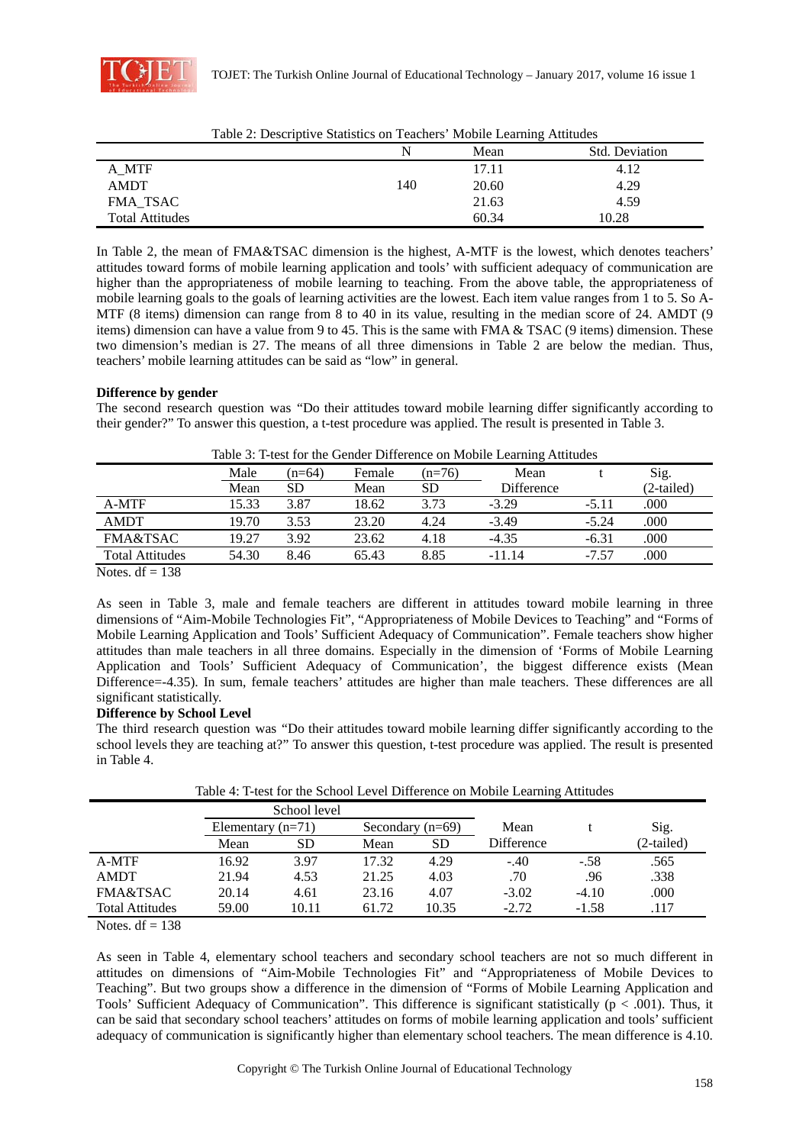

|                        |     |       | c<br>.         |
|------------------------|-----|-------|----------------|
|                        |     | Mean  | Std. Deviation |
| A MTF                  |     | 17.11 | 4.12           |
| <b>AMDT</b>            | 140 | 20.60 | 4.29           |
| FMA TSAC               |     | 21.63 | 4.59           |
| <b>Total Attitudes</b> |     | 60.34 | 10.28          |

Table 2: Descriptive Statistics on Teachers' Mobile Learning Attitudes

In Table 2, the mean of FMA&TSAC dimension is the highest, A-MTF is the lowest, which denotes teachers' attitudes toward forms of mobile learning application and tools' with sufficient adequacy of communication are higher than the appropriateness of mobile learning to teaching. From the above table, the appropriateness of mobile learning goals to the goals of learning activities are the lowest. Each item value ranges from 1 to 5. So A-MTF (8 items) dimension can range from 8 to 40 in its value, resulting in the median score of 24. AMDT (9 items) dimension can have a value from 9 to 45. This is the same with FMA & TSAC (9 items) dimension. These two dimension's median is 27. The means of all three dimensions in Table 2 are below the median. Thus, teachers' mobile learning attitudes can be said as "low" in general.

### **Difference by gender**

The second research question was "Do their attitudes toward mobile learning differ significantly according to their gender?" To answer this question, a t-test procedure was applied. The result is presented in Table 3.

|                        | Male  | $(n=64)$ | Female | $(n=76)$  | Mean       |         | Sig.       |
|------------------------|-------|----------|--------|-----------|------------|---------|------------|
|                        | Mean  | SD       | Mean   | <b>SD</b> | Difference |         | (2-tailed) |
| A-MTF                  | 15.33 | 3.87     | 18.62  | 3.73      | $-3.29$    | $-5.11$ | .000       |
| <b>AMDT</b>            | 19.70 | 3.53     | 23.20  | 4.24      | $-3.49$    | $-5.24$ | .000       |
| <b>FMA&amp;TSAC</b>    | 19.27 | 3.92     | 23.62  | 4.18      | $-4.35$    | $-6.31$ | .000       |
| <b>Total Attitudes</b> | 54.30 | 8.46     | 65.43  | 8.85      | $-11.14$   | $-7.57$ | .000       |
|                        |       |          |        |           |            |         |            |

| Table 3: T-test for the Gender Difference on Mobile Learning Attitudes |  |
|------------------------------------------------------------------------|--|
|------------------------------------------------------------------------|--|

Notes.  $df = 138$ 

As seen in Table 3, male and female teachers are different in attitudes toward mobile learning in three dimensions of "Aim-Mobile Technologies Fit", "Appropriateness of Mobile Devices to Teaching" and "Forms of Mobile Learning Application and Tools' Sufficient Adequacy of Communication". Female teachers show higher attitudes than male teachers in all three domains. Especially in the dimension of 'Forms of Mobile Learning Application and Tools' Sufficient Adequacy of Communication', the biggest difference exists (Mean Difference=-4.35). In sum, female teachers' attitudes are higher than male teachers. These differences are all significant statistically.

### **Difference by School Level**

The third research question was "Do their attitudes toward mobile learning differ significantly according to the school levels they are teaching at?" To answer this question, t-test procedure was applied. The result is presented in Table 4.

Table 4: T-test for the School Level Difference on Mobile Learning Attitudes

|                        | School level           |       |       |                       |            |         |            |
|------------------------|------------------------|-------|-------|-----------------------|------------|---------|------------|
|                        | $(n=71)$<br>Elementary |       |       | $(n=69)$<br>Secondary |            |         | Sig.       |
|                        | Mean                   | SD    | Mean  | <b>SD</b>             | Difference |         | (2-tailed) |
| A-MTF                  | 16.92                  | 3.97  | 17.32 | 4.29                  | $-.40$     | $-.58$  | .565       |
| <b>AMDT</b>            | 21.94                  | 4.53  | 21.25 | 4.03                  | .70        | .96     | .338       |
| <b>FMA&amp;TSAC</b>    | 20.14                  | 4.61  | 23.16 | 4.07                  | $-3.02$    | $-4.10$ | .000       |
| <b>Total Attitudes</b> | 59.00                  | 10.11 | 61.72 | 10.35                 | $-2.72$    | $-1.58$ | .117       |

Notes.  $df = 138$ 

As seen in Table 4, elementary school teachers and secondary school teachers are not so much different in attitudes on dimensions of "Aim-Mobile Technologies Fit" and "Appropriateness of Mobile Devices to Teaching". But two groups show a difference in the dimension of "Forms of Mobile Learning Application and Tools' Sufficient Adequacy of Communication". This difference is significant statistically ( $p < .001$ ). Thus, it can be said that secondary school teachers' attitudes on forms of mobile learning application and tools' sufficient adequacy of communication is significantly higher than elementary school teachers. The mean difference is 4.10.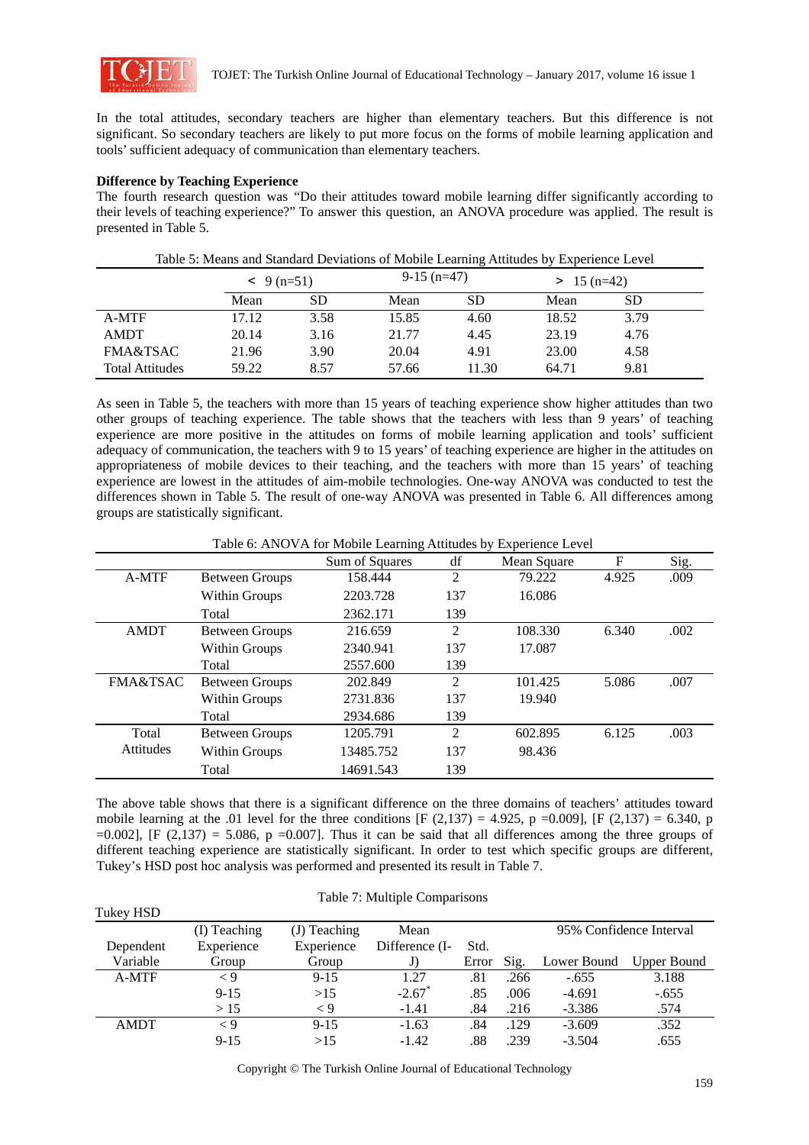

In the total attitudes, secondary teachers are higher than elementary teachers. But this difference is not significant. So secondary teachers are likely to put more focus on the forms of mobile learning application and tools' sufficient adequacy of communication than elementary teachers.

### **Difference by Teaching Experience**

The fourth research question was "Do their attitudes toward mobile learning differ significantly according to their levels of teaching experience?" To answer this question, an ANOVA procedure was applied. The result is presented in Table 5.

|                        |       | $-9(n=51)$ |       | $9-15$ (n=47) | $> 15(n=42)$ |      |  |
|------------------------|-------|------------|-------|---------------|--------------|------|--|
|                        | Mean  | <b>SD</b>  | Mean  | SD            | Mean         | SD   |  |
| A-MTF                  | 17.12 | 3.58       | 15.85 | 4.60          | 18.52        | 3.79 |  |
| <b>AMDT</b>            | 20.14 | 3.16       | 21.77 | 4.45          | 23.19        | 4.76 |  |
| FMA&TSAC               | 21.96 | 3.90       | 20.04 | 4.91          | 23.00        | 4.58 |  |
| <b>Total Attitudes</b> | 59.22 | 8.57       | 57.66 | 11.30         | 64.71        | 9.81 |  |

Table 5: Means and Standard Deviations of Mobile Learning Attitudes by Experience Level

As seen in Table 5, the teachers with more than 15 years of teaching experience show higher attitudes than two other groups of teaching experience. The table shows that the teachers with less than 9 years' of teaching experience are more positive in the attitudes on forms of mobile learning application and tools' sufficient adequacy of communication, the teachers with 9 to 15 years' of teaching experience are higher in the attitudes on appropriateness of mobile devices to their teaching, and the teachers with more than 15 years' of teaching experience are lowest in the attitudes of aim-mobile technologies. One-way ANOVA was conducted to test the differences shown in Table 5. The result of one-way ANOVA was presented in Table 6. All differences among groups are statistically significant.

Table 6: ANOVA for Mobile Learning Attitudes by Experience Level

|                     |                       | Sum of Squares | df             | Mean Square | F     | Sig. |
|---------------------|-----------------------|----------------|----------------|-------------|-------|------|
| A-MTF               | <b>Between Groups</b> | 158.444        | 2              | 79.222      | 4.925 | .009 |
|                     | Within Groups         | 2203.728       | 137            | 16.086      |       |      |
|                     | Total                 | 2362.171       | 139            |             |       |      |
| <b>AMDT</b>         | <b>Between Groups</b> | 216.659        | $\mathfrak{D}$ | 108.330     | 6.340 | .002 |
|                     | Within Groups         | 2340.941       | 137            | 17.087      |       |      |
|                     | Total                 | 2557.600       | 139            |             |       |      |
| <b>FMA&amp;TSAC</b> | <b>Between Groups</b> | 202.849        | $\mathfrak{D}$ | 101.425     | 5.086 | .007 |
|                     | Within Groups         | 2731.836       | 137            | 19.940      |       |      |
|                     | Total                 | 2934.686       | 139            |             |       |      |
| Total               | <b>Between Groups</b> | 1205.791       | $\mathfrak{D}$ | 602.895     | 6.125 | .003 |
| <b>Attitudes</b>    | Within Groups         | 13485.752      | 137            | 98.436      |       |      |
|                     | Total                 | 14691.543      | 139            |             |       |      |

The above table shows that there is a significant difference on the three domains of teachers' attitudes toward mobile learning at the .01 level for the three conditions [F (2,137) = 4.925, p = 0.009], [F (2,137) = 6.340, p  $=0.002$ ], [F (2,137) = 5.086, p =0.007]. Thus it can be said that all differences among the three groups of different teaching experience are statistically significant. In order to test which specific groups are different, Tukey's HSD post hoc analysis was performed and presented its result in Table 7.

| Tukey HSD   |              |                |                      |       |      |             |                         |
|-------------|--------------|----------------|----------------------|-------|------|-------------|-------------------------|
|             | (I) Teaching | $(J)$ Teaching | Mean                 |       |      |             | 95% Confidence Interval |
| Dependent   | Experience   | Experience     | Difference (I-       | Std.  |      |             |                         |
| Variable    | Group        | Group          | J)                   | Error | Sig. | Lower Bound | Upper Bound             |
| A-MTF       | $\lt 9$      | $9 - 15$       | 1.27                 | .81   | .266 | $-.655$     | 3.188                   |
|             | $9 - 15$     | >15            | $-2.67$ <sup>*</sup> | .85   | .006 | $-4.691$    | $-.655$                 |
|             | >15          | $\lt 9$        | $-1.41$              | .84   | .216 | $-3.386$    | .574                    |
| <b>AMDT</b> | $\lt 9$      | $9 - 15$       | $-1.63$              | .84   | .129 | $-3.609$    | .352                    |
|             | $9 - 15$     | >15            | $-1.42$              | .88   | .239 | $-3.504$    | .655                    |

Table 7: Multiple Comparisons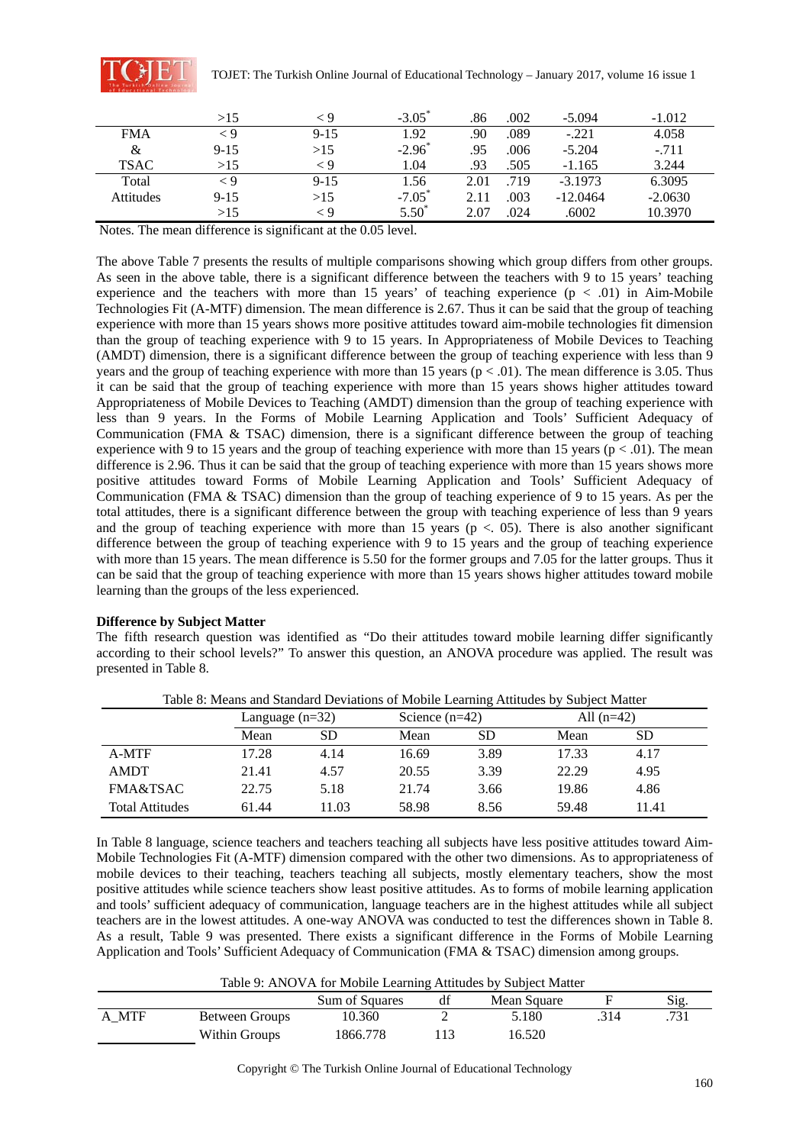

|             | >15      |          | $-3.05$ <sup>*</sup> | .86  | .002 | $-5.094$   | $-1.012$  |
|-------------|----------|----------|----------------------|------|------|------------|-----------|
| <b>FMA</b>  | < 9      | $9 - 15$ | 1.92                 | .90  | .089 | $-.221$    | 4.058     |
| &           | $9-15$   | >15      | $-2.96$ <sup>*</sup> | .95  | .006 | $-5.204$   | $-.711$   |
| <b>TSAC</b> | >15      | < 9      | 1.04                 | .93  | .505 | $-1.165$   | 3.244     |
| Total       | < 9      | $9 - 15$ | 1.56                 | 2.01 | .719 | $-3.1973$  | 6.3095    |
| Attitudes   | $9 - 15$ | >15      | $-7.05$ <sup>*</sup> | 2.11 | .003 | $-12.0464$ | $-2.0630$ |
|             | >15      | - 9      | $5.50^*$             | 2.07 | .024 | .6002      | 10.3970   |

Notes. The mean difference is significant at the 0.05 level.

The above Table 7 presents the results of multiple comparisons showing which group differs from other groups. As seen in the above table, there is a significant difference between the teachers with 9 to 15 years' teaching experience and the teachers with more than 15 years' of teaching experience  $(p < .01)$  in Aim-Mobile Technologies Fit (A-MTF) dimension. The mean difference is 2.67. Thus it can be said that the group of teaching experience with more than 15 years shows more positive attitudes toward aim-mobile technologies fit dimension than the group of teaching experience with 9 to 15 years. In Appropriateness of Mobile Devices to Teaching (AMDT) dimension, there is a significant difference between the group of teaching experience with less than 9 years and the group of teaching experience with more than 15 years ( $p < .01$ ). The mean difference is 3.05. Thus it can be said that the group of teaching experience with more than 15 years shows higher attitudes toward Appropriateness of Mobile Devices to Teaching (AMDT) dimension than the group of teaching experience with less than 9 years. In the Forms of Mobile Learning Application and Tools' Sufficient Adequacy of Communication (FMA  $&$  TSAC) dimension, there is a significant difference between the group of teaching experience with 9 to 15 years and the group of teaching experience with more than 15 years ( $p < .01$ ). The mean difference is 2.96. Thus it can be said that the group of teaching experience with more than 15 years shows more positive attitudes toward Forms of Mobile Learning Application and Tools' Sufficient Adequacy of Communication (FMA & TSAC) dimension than the group of teaching experience of 9 to 15 years. As per the total attitudes, there is a significant difference between the group with teaching experience of less than 9 years and the group of teaching experience with more than 15 years ( $p < 0.05$ ). There is also another significant difference between the group of teaching experience with 9 to 15 years and the group of teaching experience with more than 15 years. The mean difference is 5.50 for the former groups and 7.05 for the latter groups. Thus it can be said that the group of teaching experience with more than 15 years shows higher attitudes toward mobile learning than the groups of the less experienced.

### **Difference by Subject Matter**

The fifth research question was identified as "Do their attitudes toward mobile learning differ significantly according to their school levels?" To answer this question, an ANOVA procedure was applied. The result was presented in Table 8.

|                        |       | Language $(n=32)$ |       | Science $(n=42)$ |       | All $(n=42)$ |  |  |  |
|------------------------|-------|-------------------|-------|------------------|-------|--------------|--|--|--|
|                        | Mean  | SD                | Mean  | SD               | Mean  | <b>SD</b>    |  |  |  |
| A-MTF                  | 17.28 | 4.14              | 16.69 | 3.89             | 17.33 | 4.17         |  |  |  |
| <b>AMDT</b>            | 21.41 | 4.57              | 20.55 | 3.39             | 22.29 | 4.95         |  |  |  |
| FMA&TSAC               | 22.75 | 5.18              | 21.74 | 3.66             | 19.86 | 4.86         |  |  |  |
| <b>Total Attitudes</b> | 61.44 | 11.03             | 58.98 | 8.56             | 59.48 | 11.41        |  |  |  |

Table 8: Means and Standard Deviations of Mobile Learning Attitudes by Subject Matter

In Table 8 language, science teachers and teachers teaching all subjects have less positive attitudes toward Aim-Mobile Technologies Fit (A-MTF) dimension compared with the other two dimensions. As to appropriateness of mobile devices to their teaching, teachers teaching all subjects, mostly elementary teachers, show the most positive attitudes while science teachers show least positive attitudes. As to forms of mobile learning application and tools' sufficient adequacy of communication, language teachers are in the highest attitudes while all subject teachers are in the lowest attitudes. A one-way ANOVA was conducted to test the differences shown in Table 8. As a result, Table 9 was presented. There exists a significant difference in the Forms of Mobile Learning Application and Tools' Sufficient Adequacy of Communication (FMA & TSAC) dimension among groups.

### Table 9: ANOVA for Mobile Learning Attitudes by Subject Matter

|       |                | Sum of Squares | df | Mean Square | Sig  |
|-------|----------------|----------------|----|-------------|------|
| A MTF | Between Groups | 10.360         | -  | 5.180       | .731 |
|       | Within Groups  | 1866.778       |    | 16.520      |      |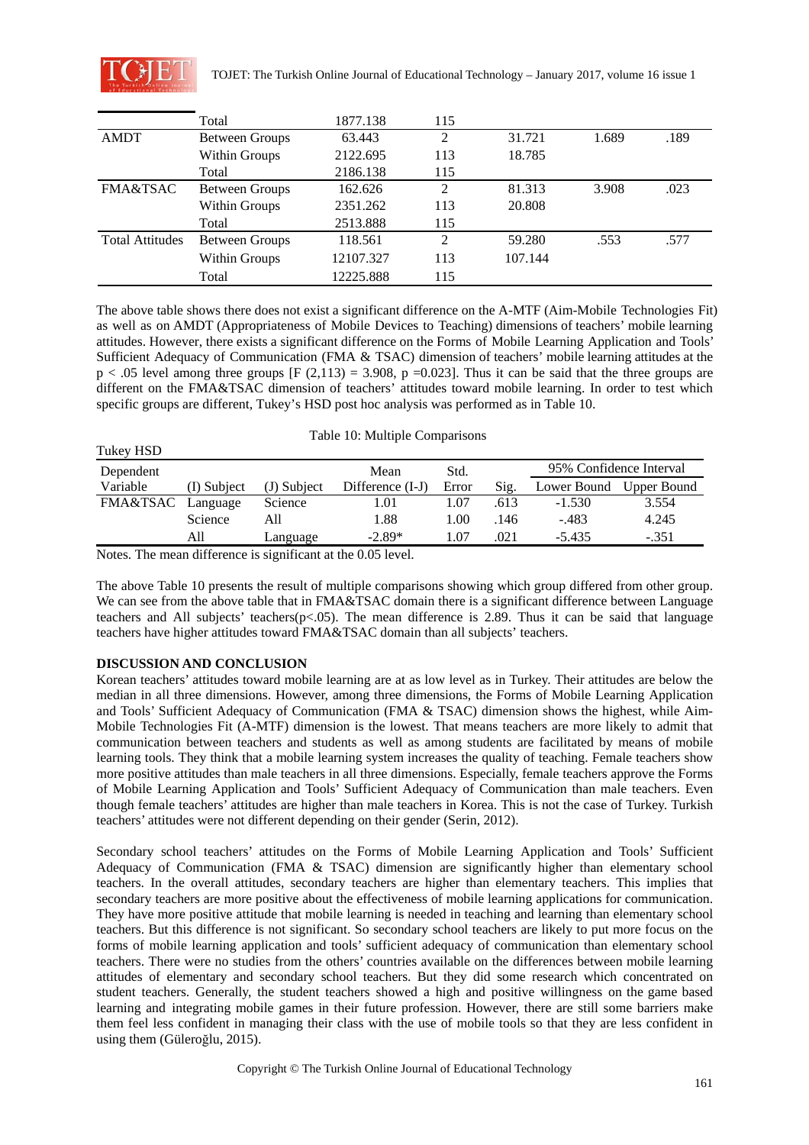

Tukey HSD

|                        | Total                 | 1877.138  | 115 |         |       |      |
|------------------------|-----------------------|-----------|-----|---------|-------|------|
| <b>AMDT</b>            | <b>Between Groups</b> | 63.443    | 2   | 31.721  | 1.689 | .189 |
|                        | Within Groups         | 2122.695  | 113 | 18.785  |       |      |
|                        | Total                 | 2186.138  | 115 |         |       |      |
| <b>FMA&amp;TSAC</b>    | <b>Between Groups</b> | 162.626   | 2   | 81.313  | 3.908 | .023 |
|                        | Within Groups         | 2351.262  | 113 | 20.808  |       |      |
|                        | Total                 | 2513.888  | 115 |         |       |      |
| <b>Total Attitudes</b> | <b>Between Groups</b> | 118.561   | 2   | 59.280  | .553  | .577 |
|                        | Within Groups         | 12107.327 | 113 | 107.144 |       |      |
|                        | Total                 | 12225.888 | 115 |         |       |      |

The above table shows there does not exist a significant difference on the A-MTF (Aim-Mobile Technologies Fit) as well as on AMDT (Appropriateness of Mobile Devices to Teaching) dimensions of teachers' mobile learning attitudes. However, there exists a significant difference on the Forms of Mobile Learning Application and Tools' Sufficient Adequacy of Communication (FMA & TSAC) dimension of teachers' mobile learning attitudes at the  $p < .05$  level among three groups [F (2,113) = 3.908, p =0.023]. Thus it can be said that the three groups are different on the FMA&TSAC dimension of teachers' attitudes toward mobile learning. In order to test which specific groups are different, Tukey's HSD post hoc analysis was performed as in Table 10.

| TUNCY IND |             |             |                  |       |                         |             |             |
|-----------|-------------|-------------|------------------|-------|-------------------------|-------------|-------------|
| Dependent |             | Mean        | Std.             |       | 95% Confidence Interval |             |             |
| Variable  | (I) Subiect | (J) Subject | Difference (I-J) | Error | Sig.                    | Lower Bound | Upper Bound |
| FMA&TSAC  | Language    | Science     | .01              | l.07  | .613                    | $-1.530$    | 3.554       |
|           | Science     | All         | l.88             | L.OO  | .146                    | -.483       | 4.245       |
|           | All         | Language    | $-2.89*$         | .07   | .021                    | $-5.435$    | $-.351$     |

Notes. The mean difference is significant at the 0.05 level.

The above Table 10 presents the result of multiple comparisons showing which group differed from other group. We can see from the above table that in FMA&TSAC domain there is a significant difference between Language teachers and All subjects' teachers( $p$ <.05). The mean difference is 2.89. Thus it can be said that language teachers have higher attitudes toward FMA&TSAC domain than all subjects' teachers.

### **DISCUSSION AND CONCLUSION**

Korean teachers' attitudes toward mobile learning are at as low level as in Turkey. Their attitudes are below the median in all three dimensions. However, among three dimensions, the Forms of Mobile Learning Application and Tools' Sufficient Adequacy of Communication (FMA & TSAC) dimension shows the highest, while Aim-Mobile Technologies Fit (A-MTF) dimension is the lowest. That means teachers are more likely to admit that communication between teachers and students as well as among students are facilitated by means of mobile learning tools. They think that a mobile learning system increases the quality of teaching. Female teachers show more positive attitudes than male teachers in all three dimensions. Especially, female teachers approve the Forms of Mobile Learning Application and Tools' Sufficient Adequacy of Communication than male teachers. Even though female teachers' attitudes are higher than male teachers in Korea. This is not the case of Turkey. Turkish teachers' attitudes were not different depending on their gender (Serin, 2012).

Secondary school teachers' attitudes on the Forms of Mobile Learning Application and Tools' Sufficient Adequacy of Communication (FMA & TSAC) dimension are significantly higher than elementary school teachers. In the overall attitudes, secondary teachers are higher than elementary teachers. This implies that secondary teachers are more positive about the effectiveness of mobile learning applications for communication. They have more positive attitude that mobile learning is needed in teaching and learning than elementary school teachers. But this difference is not significant. So secondary school teachers are likely to put more focus on the forms of mobile learning application and tools' sufficient adequacy of communication than elementary school teachers. There were no studies from the others' countries available on the differences between mobile learning attitudes of elementary and secondary school teachers. But they did some research which concentrated on student teachers. Generally, the student teachers showed a high and positive willingness on the game based learning and integrating mobile games in their future profession. However, there are still some barriers make them feel less confident in managing their class with the use of mobile tools so that they are less confident in using them (Güleroğlu, 2015).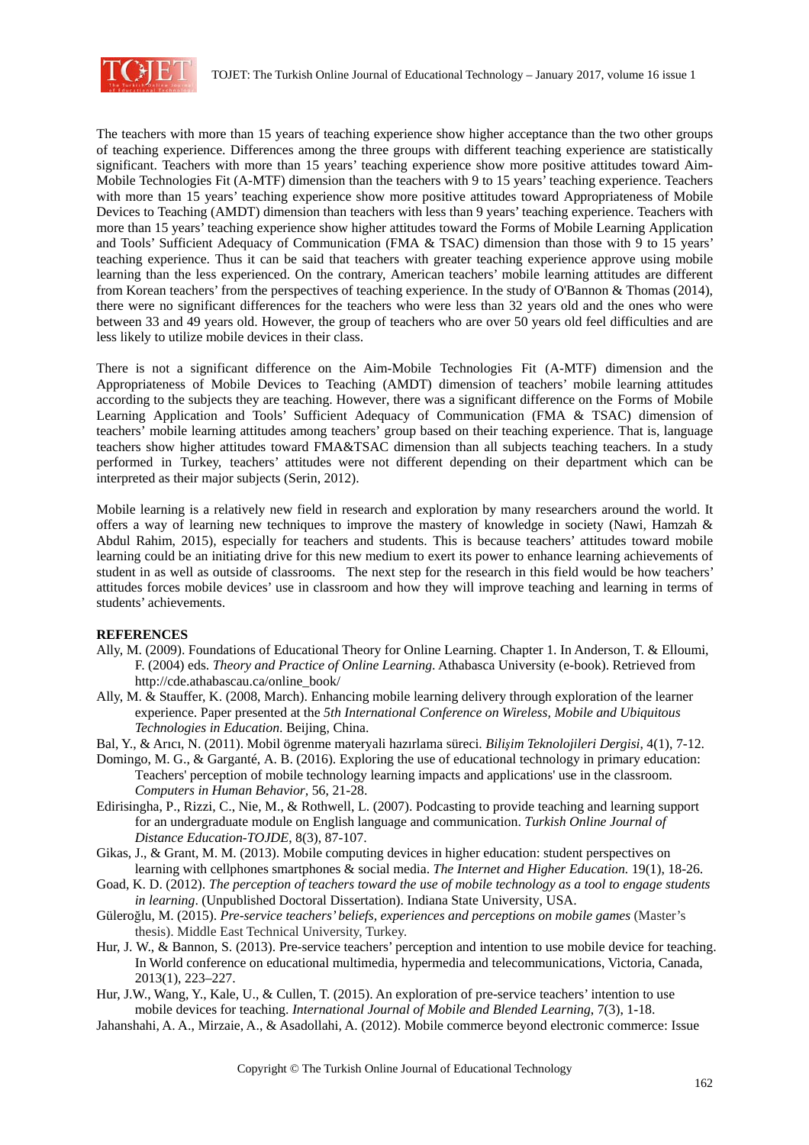

The teachers with more than 15 years of teaching experience show higher acceptance than the two other groups of teaching experience. Differences among the three groups with different teaching experience are statistically significant. Teachers with more than 15 years' teaching experience show more positive attitudes toward Aim-Mobile Technologies Fit (A-MTF) dimension than the teachers with 9 to 15 years' teaching experience. Teachers with more than 15 years' teaching experience show more positive attitudes toward Appropriateness of Mobile Devices to Teaching (AMDT) dimension than teachers with less than 9 years' teaching experience. Teachers with more than 15 years' teaching experience show higher attitudes toward the Forms of Mobile Learning Application and Tools' Sufficient Adequacy of Communication (FMA & TSAC) dimension than those with 9 to 15 years' teaching experience. Thus it can be said that teachers with greater teaching experience approve using mobile learning than the less experienced. On the contrary, American teachers' mobile learning attitudes are different from Korean teachers' from the perspectives of teaching experience. In the study of O'Bannon & Thomas (2014), there were no significant differences for the teachers who were less than 32 years old and the ones who were between 33 and 49 years old. However, the group of teachers who are over 50 years old feel difficulties and are less likely to utilize mobile devices in their class.

There is not a significant difference on the Aim-Mobile Technologies Fit (A-MTF) dimension and the Appropriateness of Mobile Devices to Teaching (AMDT) dimension of teachers' mobile learning attitudes according to the subjects they are teaching. However, there was a significant difference on the Forms of Mobile Learning Application and Tools' Sufficient Adequacy of Communication (FMA & TSAC) dimension of teachers' mobile learning attitudes among teachers' group based on their teaching experience. That is, language teachers show higher attitudes toward FMA&TSAC dimension than all subjects teaching teachers. In a study performed in Turkey, teachers' attitudes were not different depending on their department which can be interpreted as their major subjects (Serin, 2012).

Mobile learning is a relatively new field in research and exploration by many researchers around the world. It offers a way of learning new techniques to improve the mastery of knowledge in society (Nawi, Hamzah & Abdul Rahim, 2015), especially for teachers and students. This is because teachers' attitudes toward mobile learning could be an initiating drive for this new medium to exert its power to enhance learning achievements of student in as well as outside of classrooms. The next step for the research in this field would be how teachers' attitudes forces mobile devices' use in classroom and how they will improve teaching and learning in terms of students' achievements.

### **REFERENCES**

- Ally, M. (2009). Foundations of Educational Theory for Online Learning. Chapter 1. In Anderson, T. & Elloumi, F. (2004) eds. *Theory and Practice of Online Learning*. Athabasca University (e-book). Retrieved from http://cde.athabascau.ca/online\_book/
- Ally, M. & Stauffer, K. (2008, March). Enhancing mobile learning delivery through exploration of the learner experience. Paper presented at the *5th International Conference on Wireless, Mobile and Ubiquitous Technologies in Education*. Beijing, China.
- Bal, Y., & Arıcı, N. (2011). Mobil ögrenme materyali hazırlama süreci. *Bilişim Teknolojileri Dergisi*, 4(1), 7-12.
- Domingo, M. G., & Garganté, A. B. (2016). Exploring the use of educational technology in primary education: Teachers' perception of mobile technology learning impacts and applications' use in the classroom. *Computers in Human Behavior,* 56, 21-28.
- Edirisingha, P., Rizzi, C., Nie, M., & Rothwell, L. (2007). Podcasting to provide teaching and learning support for an undergraduate module on English language and communication. *Turkish Online Journal of Distance Education-TOJDE*, 8(3), 87-107.
- Gikas, J., & Grant, M. M. (2013). Mobile computing devices in higher education: student perspectives on learning with cellphones smartphones & social media. *The Internet and Higher Education.* 19(1), 18-26.
- Goad, K. D. (2012). *The perception of teachers toward the use of mobile technology as a tool to engage students in learning*. (Unpublished Doctoral Dissertation). Indiana State University, USA.
- Güleroğlu, M. (2015). *Pre-service teachers' beliefs, experiences and perceptions on mobile games* (Master's thesis). Middle East Technical University, Turkey.
- Hur, J. W., & Bannon, S. (2013). Pre-service teachers' perception and intention to use mobile device for teaching. In World conference on educational multimedia, hypermedia and telecommunications, Victoria, Canada, 2013(1), 223–227.
- Hur, J.W., Wang, Y., Kale, U., & Cullen, T. (2015). An exploration of pre-service teachers' intention to use mobile devices for teaching. *International Journal of Mobile and Blended Learning*, 7(3), 1-18.
- Jahanshahi, A. A., Mirzaie, A., & Asadollahi, A. (2012). Mobile commerce beyond electronic commerce: Issue